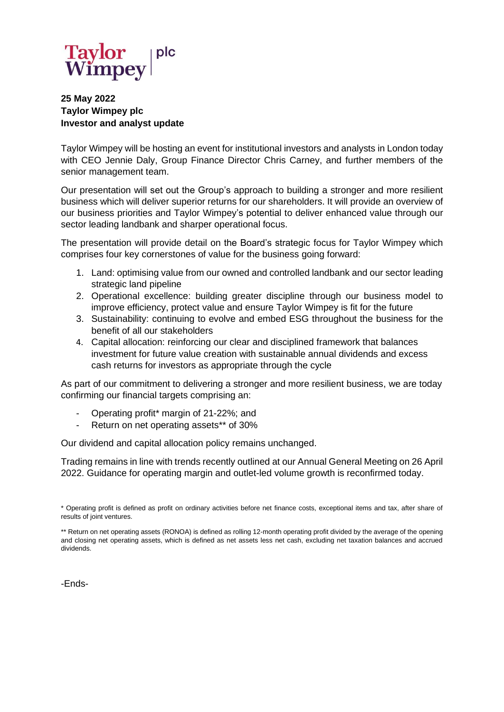

## **25 May 2022 Taylor Wimpey plc Investor and analyst update**

Taylor Wimpey will be hosting an event for institutional investors and analysts in London today with CEO Jennie Daly, Group Finance Director Chris Carney, and further members of the senior management team.

Our presentation will set out the Group's approach to building a stronger and more resilient business which will deliver superior returns for our shareholders. It will provide an overview of our business priorities and Taylor Wimpey's potential to deliver enhanced value through our sector leading landbank and sharper operational focus.

The presentation will provide detail on the Board's strategic focus for Taylor Wimpey which comprises four key cornerstones of value for the business going forward:

- 1. Land: optimising value from our owned and controlled landbank and our sector leading strategic land pipeline
- 2. Operational excellence: building greater discipline through our business model to improve efficiency, protect value and ensure Taylor Wimpey is fit for the future
- 3. Sustainability: continuing to evolve and embed ESG throughout the business for the benefit of all our stakeholders
- 4. Capital allocation: reinforcing our clear and disciplined framework that balances investment for future value creation with sustainable annual dividends and excess cash returns for investors as appropriate through the cycle

As part of our commitment to delivering a stronger and more resilient business, we are today confirming our financial targets comprising an:

- Operating profit\* margin of 21-22%; and
- Return on net operating assets\*\* of 30%

Our dividend and capital allocation policy remains unchanged.

Trading remains in line with trends recently outlined at our Annual General Meeting on 26 April 2022. Guidance for operating margin and outlet-led volume growth is reconfirmed today.

-Ends-

<sup>\*</sup> Operating profit is defined as profit on ordinary activities before net finance costs, exceptional items and tax, after share of results of joint ventures.

<sup>\*\*</sup> Return on net operating assets (RONOA) is defined as rolling 12-month operating profit divided by the average of the opening and closing net operating assets, which is defined as net assets less net cash, excluding net taxation balances and accrued dividends.